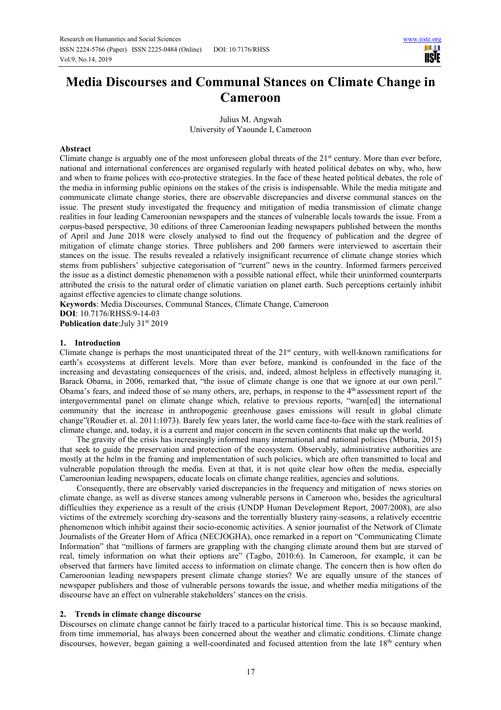ШI **TISIE** 

# **Media Discourses and Communal Stances on Climate Change in Cameroon**

Julius M. Angwah University of Yaounde I, Cameroon

## **Abstract**

Climate change is arguably one of the most unforeseen global threats of the  $21<sup>st</sup>$  century. More than ever before, national and international conferences are organised regularly with heated political debates on why, who, how and when to frame polices with eco-protective strategies. In the face of these heated political debates, the role of the media in informing public opinions on the stakes of the crisis is indispensable. While the media mitigate and communicate climate change stories, there are observable discrepancies and diverse communal stances on the issue. The present study investigated the frequency and mitigation of media transmission of climate change realities in four leading Cameroonian newspapers and the stances of vulnerable locals towards the issue. From a corpus-based perspective, 30 editions of three Cameroonian leading newspapers published between the months of April and June 2018 were closely analysed to find out the frequency of publication and the degree of mitigation of climate change stories. Three publishers and 200 farmers were interviewed to ascertain their stances on the issue. The results revealed a relatively insignificant recurrence of climate change stories which stems from publishers' subjective categorisation of "current" news in the country. Informed farmers perceived the issue as a distinct domestic phenomenon with a possible national effect, while their uninformed counterparts attributed the crisis to the natural order of climatic variation on planet earth. Such perceptions certainly inhibit against effective agencies to climate change solutions.

**Keywords**: Media Discourses, Communal Stances, Climate Change, Cameroon

**DOI**: 10.7176/RHSS/9-14-03 Publication date: July 31<sup>st</sup> 2019

#### **1. Introduction**

Climate change is perhaps the most unanticipated threat of the 21st century, with well-known ramifications for earth's ecosystems at different levels. More than ever before, mankind is confounded in the face of the increasing and devastating consequences of the crisis, and, indeed, almost helpless in effectively managing it. Barack Obama, in 2006, remarked that, "the issue of climate change is one that we ignore at our own peril." Obama's fears, and indeed those of so many others, are, perhaps, in response to the 4th assessment report of the intergovernmental panel on climate change which, relative to previous reports, "warn[ed] the international community that the increase in anthropogenic greenhouse gases emissions will result in global climate change"(Roudier et. al. 2011:1073). Barely few years later, the world came face-to-face with the stark realities of climate change, and, today, it is a current and major concern in the seven continents that make up the world.

The gravity of the crisis has increasingly informed many international and national policies (Mburia, 2015) that seek to guide the preservation and protection of the ecosystem. Observably, administrative authorities are mostly at the helm in the framing and implementation of such policies, which are often transmitted to local and vulnerable population through the media. Even at that, it is not quite clear how often the media, especially Cameroonian leading newspapers, educate locals on climate change realities, agencies and solutions.

Consequently, there are observably varied discrepancies in the frequency and mitigation of news stories on climate change, as well as diverse stances among vulnerable persons in Cameroon who, besides the agricultural difficulties they experience as a result of the crisis (UNDP Human Development Report, 2007/2008), are also victims of the extremely scorching dry-seasons and the torrentially blustery rainy-seasons, a relatively eccentric phenomenon which inhibit against their socio-economic activities. A senior journalist of the Network of Climate Journalists of the Greater Horn of Africa (NECJOGHA), once remarked in a report on "Communicating Climate Information" that "millions of farmers are grappling with the changing climate around them but are starved of real, timely information on what their options are" (Tagbo, 2010:6). In Cameroon, for example, it can be observed that farmers have limited access to information on climate change. The concern then is how often do Cameroonian leading newspapers present climate change stories? We are equally unsure of the stances of newspaper publishers and those of vulnerable persons towards the issue, and whether media mitigations of the discourse have an effect on vulnerable stakeholders' stances on the crisis.

## **2. Trends in climate change discourse**

Discourses on climate change cannot be fairly traced to a particular historical time. This is so because mankind, from time immemorial, has always been concerned about the weather and climatic conditions. Climate change discourses, however, began gaining a well-coordinated and focused attention from the late  $18<sup>th</sup>$  century when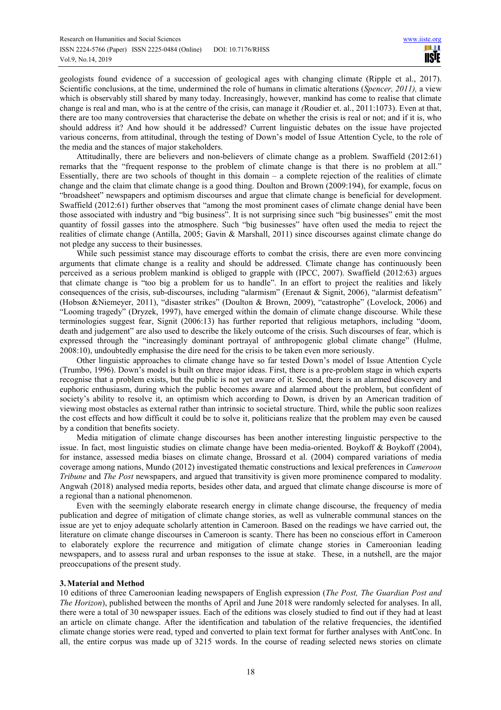geologists found evidence of a succession of geological ages with changing climate (Ripple et al., 2017). Scientific conclusions, at the time, undermined the role of humans in climatic alterations (*Spencer, 2011),* a view which is observably still shared by many today. Increasingly, however, mankind has come to realise that climate change is real and man, who is at the centre of the crisis, can manage it *(*Roudier et. al., 2011:1073). Even at that, there are too many controversies that characterise the debate on whether the crisis is real or not; and if it is, who should address it? And how should it be addressed? Current linguistic debates on the issue have projected various concerns, from attitudinal, through the testing of Down's model of Issue Attention Cycle, to the role of the media and the stances of major stakeholders.

Attitudinally, there are believers and non-believers of climate change as a problem. Swaffield (2012:61) remarks that the "frequent response to the problem of climate change is that there is no problem at all." Essentially, there are two schools of thought in this domain – a complete rejection of the realities of climate change and the claim that climate change is a good thing. Doulton and Brown (2009:194), for example, focus on "broadsheet" newspapers and optimism discourses and argue that climate change is beneficial for development. Swaffield (2012:61) further observes that "among the most prominent cases of climate change denial have been those associated with industry and "big business". It is not surprising since such "big businesses" emit the most quantity of fossil gasses into the atmosphere. Such "big businesses" have often used the media to reject the realities of climate change (Antilla, 2005; Gavin & Marshall, 2011) since discourses against climate change do not pledge any success to their businesses.

While such pessimist stance may discourage efforts to combat the crisis, there are even more convincing arguments that climate change is a reality and should be addressed. Climate change has continuously been perceived as a serious problem mankind is obliged to grapple with (IPCC, 2007). Swaffield (2012:63) argues that climate change is "too big a problem for us to handle". In an effort to project the realities and likely consequences of the crisis, sub-discourses, including "alarmism" (Erenaut & Signit, 2006), "alarmist defeatism" (Hobson &Niemeyer, 2011), "disaster strikes" (Doulton & Brown, 2009), "catastrophe" (Lovelock, 2006) and "Looming tragedy" (Dryzek, 1997), have emerged within the domain of climate change discourse. While these terminologies suggest fear, Signit (2006:13) has further reported that religious metaphors, including "doom, death and judgement" are also used to describe the likely outcome of the crisis. Such discourses of fear, which is expressed through the "increasingly dominant portrayal of anthropogenic global climate change" (Hulme, 2008:10), undoubtedly emphasise the dire need for the crisis to be taken even more seriously.

Other linguistic approaches to climate change have so far tested Down's model of Issue Attention Cycle (Trumbo, 1996). Down's model is built on three major ideas. First, there is a pre-problem stage in which experts recognise that a problem exists, but the public is not yet aware of it. Second, there is an alarmed discovery and euphoric enthusiasm, during which the public becomes aware and alarmed about the problem, but confident of society's ability to resolve it, an optimism which according to Down, is driven by an American tradition of viewing most obstacles as external rather than intrinsic to societal structure. Third, while the public soon realizes the cost effects and how difficult it could be to solve it, politicians realize that the problem may even be caused by a condition that benefits society.

Media mitigation of climate change discourses has been another interesting linguistic perspective to the issue. In fact, most linguistic studies on climate change have been media-oriented. Boykoff & Boykoff (2004), for instance, assessed media biases on climate change, Brossard et al. (2004) compared variations of media coverage among nations, Mundo (2012) investigated thematic constructions and lexical preferences in *Cameroon Tribune* and *The Post* newspapers, and argued that transitivity is given more prominence compared to modality. Angwah (2018) analysed media reports, besides other data, and argued that climate change discourse is more of a regional than a national phenomenon.

Even with the seemingly elaborate research energy in climate change discourse, the frequency of media publication and degree of mitigation of climate change stories, as well as vulnerable communal stances on the issue are yet to enjoy adequate scholarly attention in Cameroon. Based on the readings we have carried out, the literature on climate change discourses in Cameroon is scanty. There has been no conscious effort in Cameroon to elaborately explore the recurrence and mitigation of climate change stories in Cameroonian leading newspapers, and to assess rural and urban responses to the issue at stake. These, in a nutshell, are the major preoccupations of the present study.

## **3.Material and Method**

10 editions of three Cameroonian leading newspapers of English expression (*The Post, The Guardian Post and The Horizon*), published between the months of April and June 2018 were randomly selected for analyses. In all, there were a total of 30 newspaper issues. Each of the editions was closely studied to find out if they had at least an article on climate change. After the identification and tabulation of the relative frequencies, the identified climate change stories were read, typed and converted to plain text format for further analyses with AntConc. In all, the entire corpus was made up of 3215 words. In the course of reading selected news stories on climate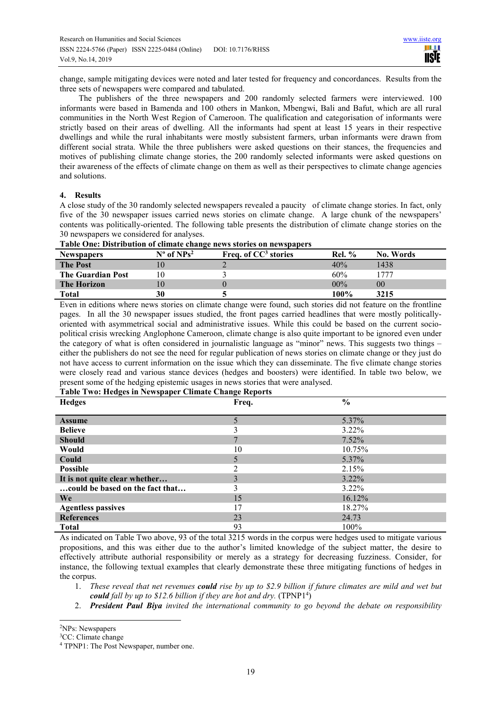change, sample mitigating devices were noted and later tested for frequency and concordances. Results from the three sets of newspapers were compared and tabulated.

 The publishers of the three newspapers and 200 randomly selected farmers were interviewed. 100 informants were based in Bamenda and 100 others in Mankon, Mbengwi, Bali and Bafut, which are all rural communities in the North West Region of Cameroon. The qualification and categorisation of informants were strictly based on their areas of dwelling. All the informants had spent at least 15 years in their respective dwellings and while the rural inhabitants were mostly subsistent farmers, urban informants were drawn from different social strata. While the three publishers were asked questions on their stances, the frequencies and motives of publishing climate change stories, the 200 randomly selected informants were asked questions on their awareness of the effects of climate change on them as well as their perspectives to climate change agencies and solutions.

## **4. Results**

A close study of the 30 randomly selected newspapers revealed a paucity of climate change stories. In fact, only five of the 30 newspaper issues carried news stories on climate change. A large chunk of the newspapers' contents was politically-oriented. The following table presents the distribution of climate change stories on the 30 newspapers we considered for analyses.

| Table One: Distribution of climate change news stories on newspapers |  |  |  |
|----------------------------------------------------------------------|--|--|--|
|----------------------------------------------------------------------|--|--|--|

| <b>Newspapers</b>        | $N^{\circ}$ of $NPs^2$ | Freq. of $CC^3$ stories | <b>Rel.</b> % | No. Words |
|--------------------------|------------------------|-------------------------|---------------|-----------|
| <b>The Post</b>          |                        |                         | 40%           | 1438      |
| <b>The Guardian Post</b> | l O                    |                         | 60%           | 777       |
| <b>The Horizon</b>       |                        |                         | $00\%$        | $00\,$    |
| Total                    | 30                     |                         | 100%          | 3215      |

Even in editions where news stories on climate change were found, such stories did not feature on the frontline pages. In all the 30 newspaper issues studied, the front pages carried headlines that were mostly politicallyoriented with asymmetrical social and administrative issues. While this could be based on the current sociopolitical crisis wrecking Anglophone Cameroon, climate change is also quite important to be ignored even under the category of what is often considered in journalistic language as "minor" news. This suggests two things – either the publishers do not see the need for regular publication of news stories on climate change or they just do not have access to current information on the issue which they can disseminate. The five climate change stories were closely read and various stance devices (hedges and boosters) were identified. In table two below, we present some of the hedging epistemic usages in news stories that were analysed.

## **Table Two: Hedges in Newspaper Climate Change Reports**

| <b>Hedges</b>                   | Freq. | $\frac{6}{10}$ |
|---------------------------------|-------|----------------|
|                                 |       |                |
| <b>Assume</b>                   |       | 5.37%          |
| <b>Believe</b>                  |       | $3.22\%$       |
| <b>Should</b>                   |       | 7.52%          |
| Would                           | 10    | 10.75%         |
| Could                           |       | 5.37%          |
| <b>Possible</b>                 |       | 2.15%          |
| It is not quite clear whether   | 3     | $3.22\%$       |
| could be based on the fact that | 3     | $3.22\%$       |
| We                              | 15    | $16.12\%$      |
| <b>Agentless passives</b>       |       | 18.27%         |
| <b>References</b>               | 23    | 24.73          |
| <b>Total</b>                    | 93    | 100%           |

As indicated on Table Two above, 93 of the total 3215 words in the corpus were hedges used to mitigate various propositions, and this was either due to the author's limited knowledge of the subject matter, the desire to effectively attribute authorial responsibility or merely as a strategy for decreasing fuzziness. Consider, for instance, the following textual examples that clearly demonstrate these three mitigating functions of hedges in the corpus.

- 1. *These reveal that net revenues could rise by up to \$2.9 billion if future climates are mild and wet but*  could fall by up to \$12.6 billion if they are hot and dry. (TPNP1<sup>4</sup>)
- 2. *President Paul Biya invited the international community to go beyond the debate on responsibility*

 $\overline{a}$ <sup>2</sup>NPs: Newspapers

<sup>&</sup>lt;sup>3</sup>CC: Climate change

<sup>4</sup> TPNP1: The Post Newspaper, number one.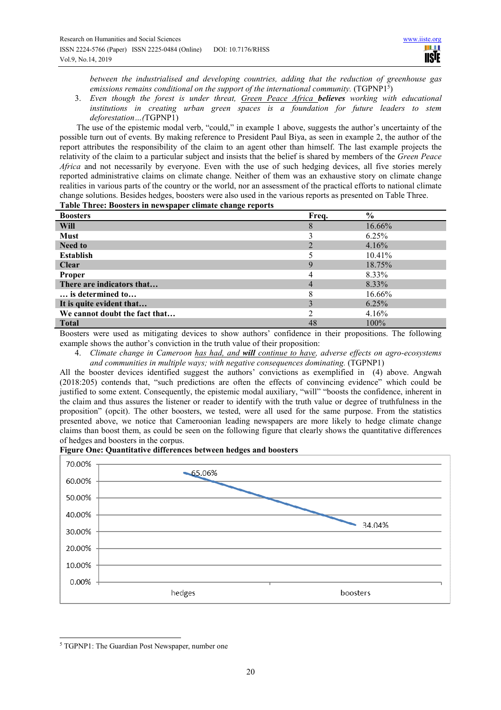*between the industrialised and developing countries, adding that the reduction of greenhouse gas*  emissions remains conditional on the support of the international community. (TGPNP1<sup>5</sup>)

3. *Even though the forest is under threat, Green Peace Africa believes working with educational institutions in creating urban green spaces is a foundation for future leaders to stem deforestation…(*TGPNP1)

The use of the epistemic modal verb, "could," in example 1 above, suggests the author's uncertainty of the possible turn out of events. By making reference to President Paul Biya, as seen in example 2, the author of the report attributes the responsibility of the claim to an agent other than himself. The last example projects the relativity of the claim to a particular subject and insists that the belief is shared by members of the *Green Peace Africa* and not necessarily by everyone. Even with the use of such hedging devices, all five stories merely reported administrative claims on climate change. Neither of them was an exhaustive story on climate change realities in various parts of the country or the world, nor an assessment of the practical efforts to national climate change solutions. Besides hedges, boosters were also used in the various reports as presented on Table Three.

**Table Three: Boosters in newspaper climate change reports**

| <b>Boosters</b>               | Freq. | $\frac{6}{6}$ |
|-------------------------------|-------|---------------|
| <b>Will</b>                   | 8     | 16.66%        |
| Must                          |       | 6.25%         |
| <b>Need to</b>                |       | 4.16%         |
| <b>Establish</b>              |       | 10.41%        |
| <b>Clear</b>                  | 9     | 18.75%        |
| Proper                        | 4     | 8.33%         |
| There are indicators that     |       | 8.33%         |
| is determined to              |       | 16.66%        |
| It is quite evident that      |       | 6.25%         |
| We cannot doubt the fact that |       | 4.16%         |
| <b>Total</b>                  | 48    | 100%          |

Boosters were used as mitigating devices to show authors' confidence in their propositions. The following example shows the author's conviction in the truth value of their proposition:

4. *Climate change in Cameroon has had, and will continue to have, adverse effects on agro-ecosystems and communities in multiple ways; with negative consequences dominating.* (TGPNP1)

All the booster devices identified suggest the authors' convictions as exemplified in (4) above. Angwah (2018:205) contends that, "such predictions are often the effects of convincing evidence" which could be justified to some extent. Consequently, the epistemic modal auxiliary, "will" "boosts the confidence, inherent in the claim and thus assures the listener or reader to identify with the truth value or degree of truthfulness in the proposition" (opcit). The other boosters, we tested, were all used for the same purpose. From the statistics presented above, we notice that Cameroonian leading newspapers are more likely to hedge climate change claims than boost them, as could be seen on the following figure that clearly shows the quantitative differences of hedges and boosters in the corpus.

## **Figure One: Quantitative differences between hedges and boosters**



5 TGPNP1: The Guardian Post Newspaper, number one

 $\overline{a}$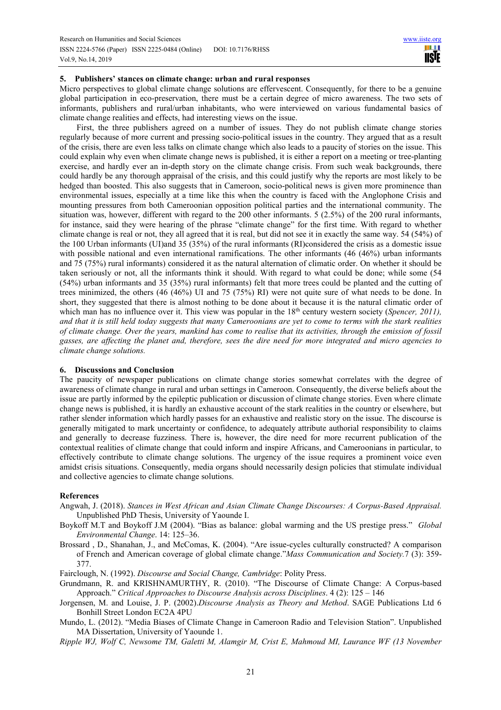## **5. Publishers' stances on climate change: urban and rural responses**

Micro perspectives to global climate change solutions are effervescent. Consequently, for there to be a genuine global participation in eco-preservation, there must be a certain degree of micro awareness. The two sets of informants, publishers and rural/urban inhabitants, who were interviewed on various fundamental basics of climate change realities and effects, had interesting views on the issue.

First, the three publishers agreed on a number of issues. They do not publish climate change stories regularly because of more current and pressing socio-political issues in the country. They argued that as a result of the crisis, there are even less talks on climate change which also leads to a paucity of stories on the issue. This could explain why even when climate change news is published, it is either a report on a meeting or tree-planting exercise, and hardly ever an in-depth story on the climate change crisis. From such weak backgrounds, there could hardly be any thorough appraisal of the crisis, and this could justify why the reports are most likely to be hedged than boosted. This also suggests that in Cameroon, socio-political news is given more prominence than environmental issues, especially at a time like this when the country is faced with the Anglophone Crisis and mounting pressures from both Cameroonian opposition political parties and the international community. The situation was, however, different with regard to the 200 other informants. 5 (2.5%) of the 200 rural informants, for instance, said they were hearing of the phrase "climate change" for the first time. With regard to whether climate change is real or not, they all agreed that it is real, but did not see it in exactly the same way. 54 (54%) of the 100 Urban informants (UI)and 35 (35%) of the rural informants (RI)considered the crisis as a domestic issue with possible national and even international ramifications. The other informants (46 (46%) urban informants and 75 (75%) rural informants) considered it as the natural alternation of climatic order. On whether it should be taken seriously or not, all the informants think it should. With regard to what could be done; while some (54 (54%) urban informants and 35 (35%) rural informants) felt that more trees could be planted and the cutting of trees minimized, the others (46 (46%) UI and 75 (75%) RI) were not quite sure of what needs to be done. In short, they suggested that there is almost nothing to be done about it because it is the natural climatic order of which man has no influence over it. This view was popular in the 18<sup>th</sup> century western society (*Spencer, 2011*), *and that it is still held today suggests that many Cameroonians are yet to come to terms with the stark realities of climate change. Over the years, mankind has come to realise that its activities, through the emission of fossil gasses, are affecting the planet and, therefore, sees the dire need for more integrated and micro agencies to climate change solutions.*

## **6. Discussions and Conclusion**

The paucity of newspaper publications on climate change stories somewhat correlates with the degree of awareness of climate change in rural and urban settings in Cameroon. Consequently, the diverse beliefs about the issue are partly informed by the epileptic publication or discussion of climate change stories. Even where climate change news is published, it is hardly an exhaustive account of the stark realities in the country or elsewhere, but rather slender information which hardly passes for an exhaustive and realistic story on the issue. The discourse is generally mitigated to mark uncertainty or confidence, to adequately attribute authorial responsibility to claims and generally to decrease fuzziness. There is, however, the dire need for more recurrent publication of the contextual realities of climate change that could inform and inspire Africans, and Cameroonians in particular, to effectively contribute to climate change solutions. The urgency of the issue requires a prominent voice even amidst crisis situations. Consequently, media organs should necessarily design policies that stimulate individual and collective agencies to climate change solutions.

## **References**

- Angwah, J. (2018). *Stances in West African and Asian Climate Change Discourses: A Corpus-Based Appraisal.*  Unpublished PhD Thesis, University of Yaounde I.
- Boykoff M.T and Boykoff J.M (2004). "Bias as balance: global warming and the US prestige press." *Global Environmental Change*. 14: 125–36.
- Brossard , D., Shanahan, J., and McComas, K. (2004). "Are issue-cycles culturally constructed? A comparison of French and American coverage of global climate change."*Mass Communication and Society.*7 (3): 359- 377.

Fairclough, N. (1992). *Discourse and Social Change, Cambridge*: Polity Press.

- Grundmann, R. and KRISHNAMURTHY, R. (2010). "The Discourse of Climate Change: A Corpus-based Approach." *Critical Approaches to Discourse Analysis across Disciplines*. 4 (2): 125 – 146
- Jorgensen, M. and Louise, J. P. (2002).*Discourse Analysis as Theory and Method*. SAGE Publications Ltd 6 Bonhill Street London EC2A 4PU
- Mundo, L. (2012). "Media Biases of Climate Change in Cameroon Radio and Television Station". Unpublished MA Dissertation, University of Yaounde 1.
- *Ripple WJ, Wolf C, Newsome TM, Galetti M, Alamgir M, Crist E, Mahmoud MI, Laurance WF (13 November*